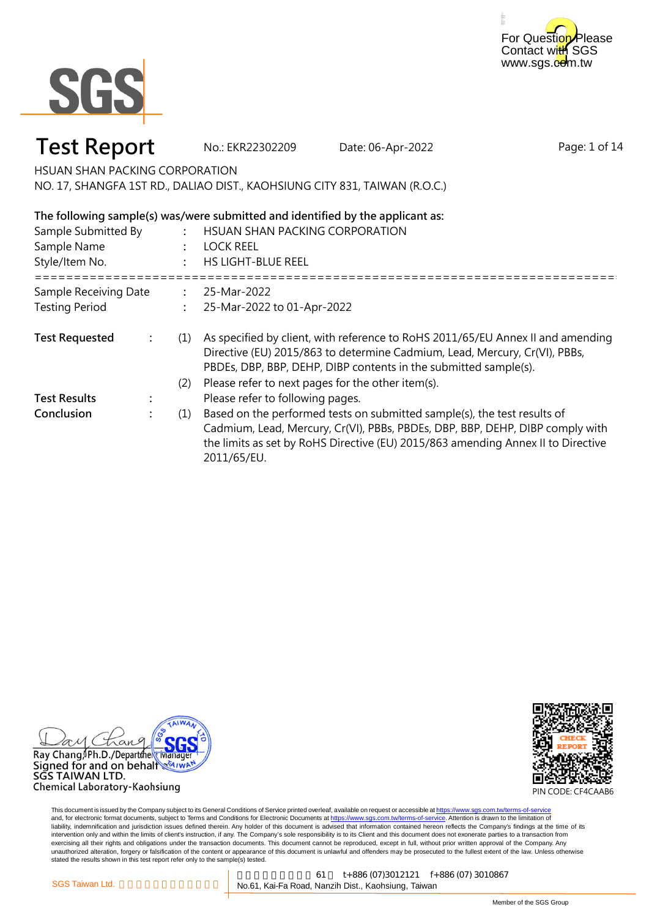



### **Test Report** No.: EKR22302209 Date: 06-Apr-2022

Page: 1 of 14

HSUAN SHAN PACKING CORPORATION

NO. 17, SHANGFA 1ST RD., DALIAO DIST., KAOHSIUNG CITY 831, TAIWAN (R.O.C.)

#### **The following sample(s) was/were submitted and identified by the applicant as:**

| Sample Submitted By<br>Sample Name<br>Style/Item No. |  |     | HSUAN SHAN PACKING CORPORATION<br>LOCK REEL<br><b>HS LIGHT-BLUE REEL</b>                                                                                                                                                                                     |  |
|------------------------------------------------------|--|-----|--------------------------------------------------------------------------------------------------------------------------------------------------------------------------------------------------------------------------------------------------------------|--|
| Sample Receiving Date<br><b>Testing Period</b>       |  |     | 25-Mar-2022<br>25-Mar-2022 to 01-Apr-2022                                                                                                                                                                                                                    |  |
|                                                      |  |     |                                                                                                                                                                                                                                                              |  |
| <b>Test Requested</b>                                |  | (1) | As specified by client, with reference to RoHS 2011/65/EU Annex II and amending<br>Directive (EU) 2015/863 to determine Cadmium, Lead, Mercury, Cr(VI), PBBs,<br>PBDEs, DBP, BBP, DEHP, DIBP contents in the submitted sample(s).                            |  |
|                                                      |  | (2) | Please refer to next pages for the other item(s).                                                                                                                                                                                                            |  |
| <b>Test Results</b>                                  |  |     | Please refer to following pages.                                                                                                                                                                                                                             |  |
| Conclusion                                           |  | (1) | Based on the performed tests on submitted sample(s), the test results of<br>Cadmium, Lead, Mercury, Cr(VI), PBBs, PBDEs, DBP, BBP, DEHP, DIBP comply with<br>the limits as set by RoHS Directive (EU) 2015/863 amending Annex II to Directive<br>2011/65/EU. |  |



Chemical Laboratory-Kaohsiung

PIN CODE: CF4CAAB6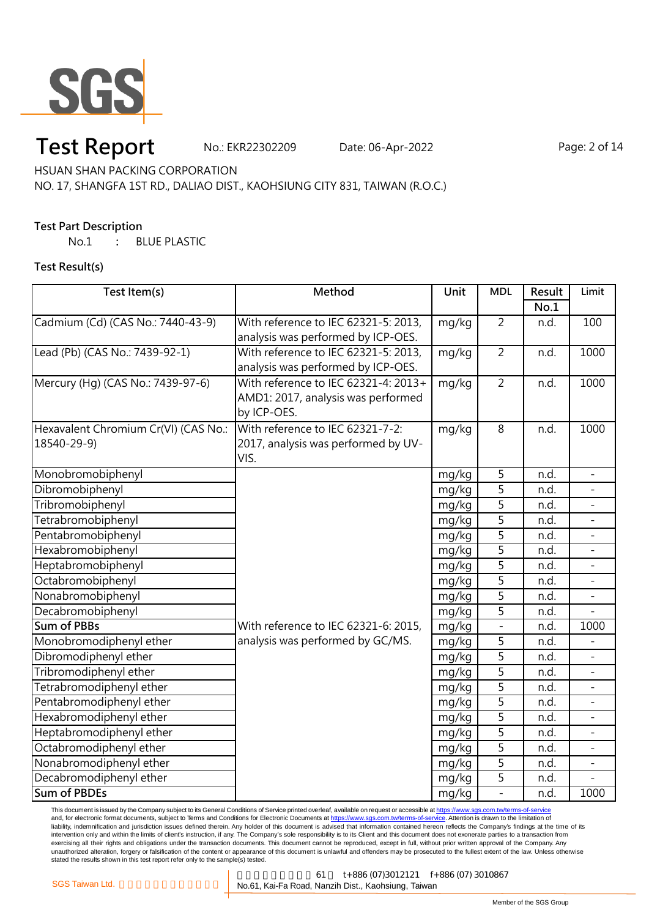

## **Test Report** No.: EKR22302209 Date: 06-Apr-2022 Page: 2 of 14

HSUAN SHAN PACKING CORPORATION

NO. 17, SHANGFA 1ST RD., DALIAO DIST., KAOHSIUNG CITY 831, TAIWAN (R.O.C.)

#### **Test Part Description**

No.1 **:** BLUE PLASTIC

#### **Test Result(s)**

| Test Item(s)                         | Method                               | Unit  | <b>MDL</b>     | Result | Limit                    |
|--------------------------------------|--------------------------------------|-------|----------------|--------|--------------------------|
|                                      |                                      |       |                | No.1   |                          |
| Cadmium (Cd) (CAS No.: 7440-43-9)    | With reference to IEC 62321-5: 2013, | mg/kg | $\overline{2}$ | n.d.   | 100                      |
|                                      | analysis was performed by ICP-OES.   |       |                |        |                          |
| Lead (Pb) (CAS No.: 7439-92-1)       | With reference to IEC 62321-5: 2013, | mg/kg | $\overline{2}$ | n.d.   | 1000                     |
|                                      | analysis was performed by ICP-OES.   |       |                |        |                          |
| Mercury (Hg) (CAS No.: 7439-97-6)    | With reference to IEC 62321-4: 2013+ | mg/kg | $\overline{2}$ | n.d.   | 1000                     |
|                                      | AMD1: 2017, analysis was performed   |       |                |        |                          |
|                                      | by ICP-OES.                          |       |                |        |                          |
| Hexavalent Chromium Cr(VI) (CAS No.: | With reference to IEC 62321-7-2:     | mg/kg | $\overline{8}$ | n.d.   | 1000                     |
| 18540-29-9)                          | 2017, analysis was performed by UV-  |       |                |        |                          |
|                                      | VIS.                                 |       |                |        |                          |
| Monobromobiphenyl                    |                                      | mg/kg | $\overline{5}$ | n.d.   | $\overline{a}$           |
| Dibromobiphenyl                      |                                      | mg/kg | 5              | n.d.   |                          |
| Tribromobiphenyl                     |                                      | mg/kg | 5              | n.d.   |                          |
| Tetrabromobiphenyl                   |                                      | mg/kg | $\overline{5}$ | n.d.   | -                        |
| Pentabromobiphenyl                   |                                      | mg/kg | 5              | n.d.   |                          |
| Hexabromobiphenyl                    |                                      | mg/kg | 5              | n.d.   | $\overline{a}$           |
| Heptabromobiphenyl                   |                                      | mg/kg | $\overline{5}$ | n.d.   |                          |
| Octabromobiphenyl                    |                                      | mg/kg | 5              | n.d.   |                          |
| Nonabromobiphenyl                    |                                      | mg/kg | 5              | n.d.   |                          |
| Decabromobiphenyl                    |                                      | mg/kg | 5              | n.d.   |                          |
| <b>Sum of PBBs</b>                   | With reference to IEC 62321-6: 2015, | mg/kg | $\overline{a}$ | n.d.   | 1000                     |
| Monobromodiphenyl ether              | analysis was performed by GC/MS.     | mg/kg | 5              | n.d.   |                          |
| Dibromodiphenyl ether                |                                      | mg/kg | 5              | n.d.   |                          |
| Tribromodiphenyl ether               |                                      | mg/kg | 5              | n.d.   |                          |
| Tetrabromodiphenyl ether             |                                      | mg/kg | 5              | n.d.   |                          |
| Pentabromodiphenyl ether             |                                      | mg/kg | 5              | n.d.   | $\overline{\phantom{0}}$ |
| Hexabromodiphenyl ether              |                                      | mg/kg | 5              | n.d.   | ÷,                       |
| Heptabromodiphenyl ether             |                                      | mg/kg | $\overline{5}$ | n.d.   |                          |
| Octabromodiphenyl ether              |                                      | mg/kg | $\overline{5}$ | n.d.   |                          |
| Nonabromodiphenyl ether              |                                      | mg/kg | 5              | n.d.   |                          |
| Decabromodiphenyl ether              |                                      | mg/kg | 5              | n.d.   |                          |
| <b>Sum of PBDEs</b>                  |                                      | mg/kg | $\blacksquare$ | n.d.   | 1000                     |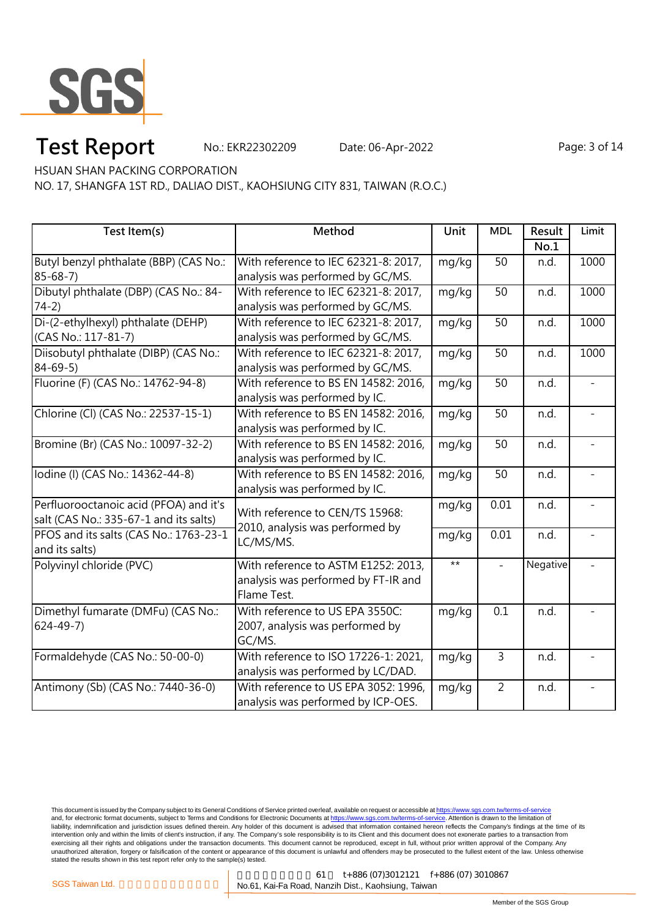

# **Test Report** No.: EKR22302209 Date: 06-Apr-2022 Page: 3 of 14

HSUAN SHAN PACKING CORPORATION

NO. 17, SHANGFA 1ST RD., DALIAO DIST., KAOHSIUNG CITY 831, TAIWAN (R.O.C.)

| Test Item(s)                           | Method                               | Unit  | <b>MDL</b>     | Result   | Limit |
|----------------------------------------|--------------------------------------|-------|----------------|----------|-------|
|                                        |                                      |       |                | No.1     |       |
| Butyl benzyl phthalate (BBP) (CAS No.: | With reference to IEC 62321-8: 2017, | mg/kg | 50             | n.d.     | 1000  |
| $85 - 68 - 7$                          | analysis was performed by GC/MS.     |       |                |          |       |
| Dibutyl phthalate (DBP) (CAS No.: 84-  | With reference to IEC 62321-8: 2017, | mg/kg | 50             | n.d.     | 1000  |
| $74-2)$                                | analysis was performed by GC/MS.     |       |                |          |       |
| Di-(2-ethylhexyl) phthalate (DEHP)     | With reference to IEC 62321-8: 2017, | mg/kg | 50             | n.d.     | 1000  |
| (CAS No.: 117-81-7)                    | analysis was performed by GC/MS.     |       |                |          |       |
| Diisobutyl phthalate (DIBP) (CAS No.:  | With reference to IEC 62321-8: 2017, | mg/kg | 50             | n.d.     | 1000  |
| $84 - 69 - 5$                          | analysis was performed by GC/MS.     |       |                |          |       |
| Fluorine (F) (CAS No.: 14762-94-8)     | With reference to BS EN 14582: 2016, | mg/kg | 50             | n.d.     |       |
|                                        | analysis was performed by IC.        |       |                |          |       |
| Chlorine (Cl) (CAS No.: 22537-15-1)    | With reference to BS EN 14582: 2016, | mg/kg | 50             | n.d.     |       |
|                                        | analysis was performed by IC.        |       |                |          |       |
| Bromine (Br) (CAS No.: 10097-32-2)     | With reference to BS EN 14582: 2016, | mg/kg | 50             | n.d.     |       |
|                                        | analysis was performed by IC.        |       |                |          |       |
| lodine (I) (CAS No.: 14362-44-8)       | With reference to BS EN 14582: 2016, | mg/kg | 50             | n.d.     |       |
|                                        | analysis was performed by IC.        |       |                |          |       |
| Perfluorooctanoic acid (PFOA) and it's | With reference to CEN/TS 15968:      | mg/kg | 0.01           | n.d.     |       |
| salt (CAS No.: 335-67-1 and its salts) | 2010, analysis was performed by      |       |                |          |       |
| PFOS and its salts (CAS No.: 1763-23-1 | LC/MS/MS.                            | mg/kg | 0.01           | n.d.     |       |
| and its salts)                         |                                      |       |                |          |       |
| Polyvinyl chloride (PVC)               | With reference to ASTM E1252: 2013,  | $***$ | $\blacksquare$ | Negative |       |
|                                        | analysis was performed by FT-IR and  |       |                |          |       |
|                                        | Flame Test.                          |       |                |          |       |
| Dimethyl fumarate (DMFu) (CAS No.:     | With reference to US EPA 3550C:      | mg/kg | 0.1            | n.d.     |       |
| $624 - 49 - 7$                         | 2007, analysis was performed by      |       |                |          |       |
|                                        | GC/MS.                               |       |                |          |       |
| Formaldehyde (CAS No.: 50-00-0)        | With reference to ISO 17226-1: 2021, | mg/kg | $\overline{3}$ | n.d.     |       |
|                                        | analysis was performed by LC/DAD.    |       |                |          |       |
| Antimony (Sb) (CAS No.: 7440-36-0)     | With reference to US EPA 3052: 1996, | mg/kg | $\overline{2}$ | n.d.     |       |
|                                        | analysis was performed by ICP-OES.   |       |                |          |       |

This document is issued by the Company subject to its General Conditions of Service printed overleaf, available on request or accessible at <u>https://www.sgs.com.tw/terms-of-service</u><br>and, for electronic format documents, su liability, indemnification and jurisdiction issues defined therein. Any holder of this document is advised that information contained hereon reflects the Company's findings at the time of its intervention only and within the limits of client's instruction, if any. The Company's sole responsibility is to its Client and this document does not exonerate parties to a transaction from exercising all their rights and obligations under the transaction documents. This document cannot be reproduced, except in full, without prior written approval of the Company. Any<br>unauthorized alteration, forgery or falsif

高雄市楠梓區開發 61 t+886 (07)3012121 f+886 (07) 3010867 SGS Taiwan Ltd. **Company of the Company of American No.61, Kai-Fa Road, Nanzih Dist., Kaohsiung, Taiwan**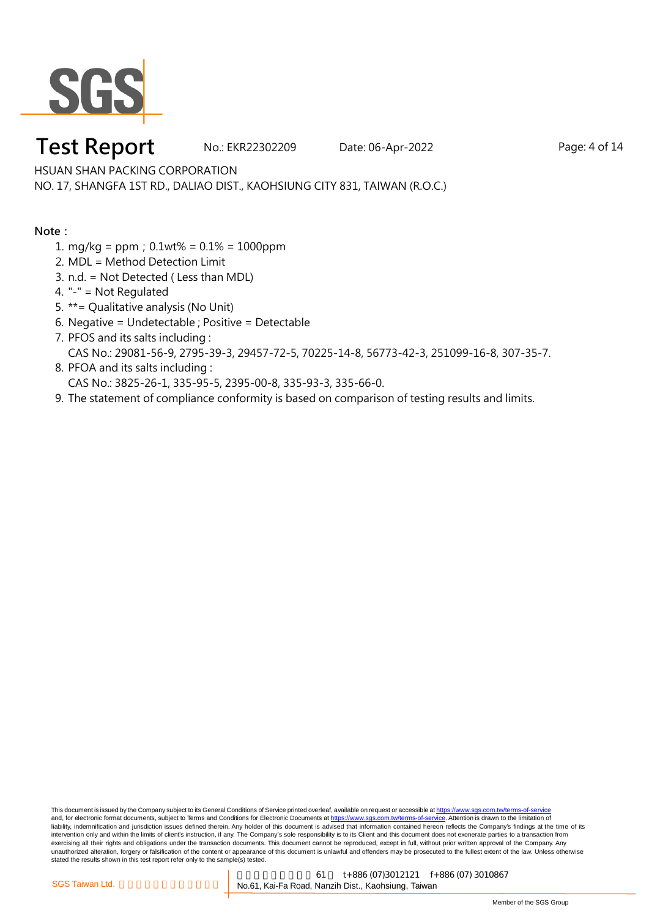

### **Test Report** No.: EKR22302209 Date: 06-Apr-2022 Page: 4 of 14

HSUAN SHAN PACKING CORPORATION

NO. 17, SHANGFA 1ST RD., DALIAO DIST., KAOHSIUNG CITY 831, TAIWAN (R.O.C.)

#### **Note:**

- 1. mg/kg = ppm;0.1wt% = 0.1% = 1000ppm
- 2. MDL = Method Detection Limit
- 3. n.d. = Not Detected ( Less than MDL)
- 4. "-" = Not Regulated
- 5. \*\*= Qualitative analysis (No Unit)
- 6. Negative = Undetectable ; Positive = Detectable
- 7. PFOS and its salts including : CAS No.: 29081-56-9, 2795-39-3, 29457-72-5, 70225-14-8, 56773-42-3, 251099-16-8, 307-35-7.
- 8. PFOA and its salts including : CAS No.: 3825-26-1, 335-95-5, 2395-00-8, 335-93-3, 335-66-0.
- 9. The statement of compliance conformity is based on comparison of testing results and limits.

This document is issued by the Company subject to its General Conditions of Service printed overleaf, available on request or accessible at https://www.sgs.com.tw/terms-of-service and, for electronic format documents, subject to Terms and Conditions for Electronic Documents at https://www.sgs.com.tw/terms-of-service. Attention is drawn to the limitation of liability, indemnification and jurisdiction issues defined therein. Any holder of this document is advised that information contained hereon reflects the Company's findings at the time of its intervention only and within the limits of client's instruction, if any. The Company's sole responsibility is to its Client and this document does not exonerate parties to a transaction from exercising all their rights and obligations under the transaction documents. This document cannot be reproduced, except in full, without prior written approval of the Company. Any<br>unauthorized alteration, forgery or falsif stated the results shown in this test report refer only to the sample(s) tested.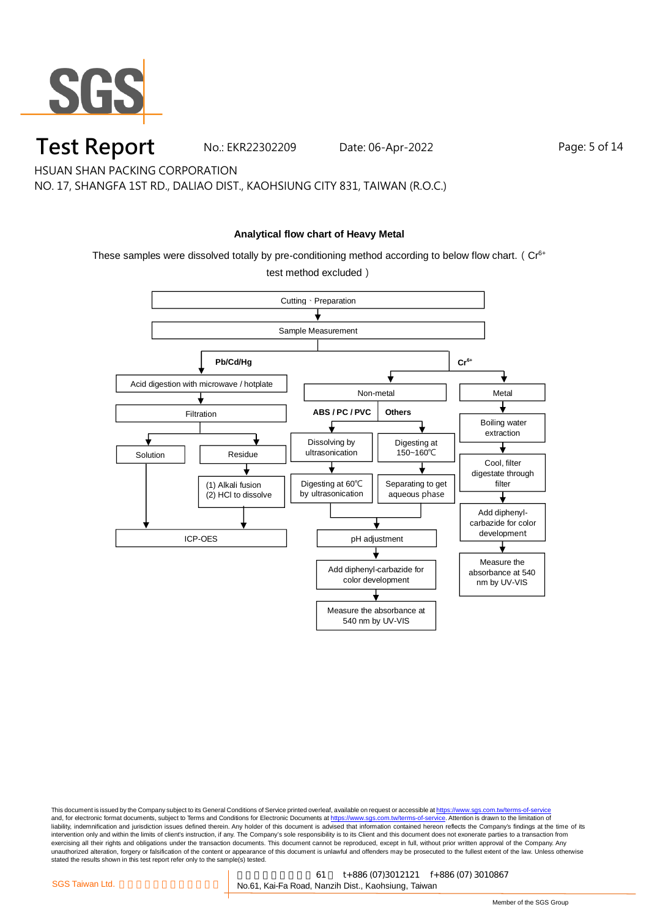

#### **Test Report** No.: EKR22302209 Date: 06-Apr-2022 Page: 5 of 14

HSUAN SHAN PACKING CORPORATION

NO. 17, SHANGFA 1ST RD., DALIAO DIST., KAOHSIUNG CITY 831, TAIWAN (R.O.C.)

#### **Analytical flow chart of Heavy Metal**

These samples were dissolved totally by pre-conditioning method according to below flow chart. ( $Cr<sup>6+</sup>$ 

test method excluded)



This document is issued by the Company subject to its General Conditions of Service printed overleaf, available on request or accessible at <u>https://www.sgs.com.tw/terms-of-service</u><br>and, for electronic format documents, su liability, indemnification and jurisdiction issues defined therein. Any holder of this document is advised that information contained hereon reflects the Company's findings at the time of its intervention only and within the limits of client's instruction, if any. The Company's sole responsibility is to its Client and this document does not exonerate parties to a transaction from exercising all their rights and obligations under the transaction documents. This document cannot be reproduced, except in full, without prior written approval of the Company. Any<br>unauthorized alteration, forgery or falsif stated the results shown in this test report refer only to the sample(s) tested.

高雄市楠梓區開發 61 t+886 (07)3012121 f+886 (07) 3010867 SGS Taiwan Ltd. <br> **EXECTS Taiwan Ltd.** All Allen Mo.61, Kai-Fa Road, Nanzih Dist., Kaohsiung, Taiwan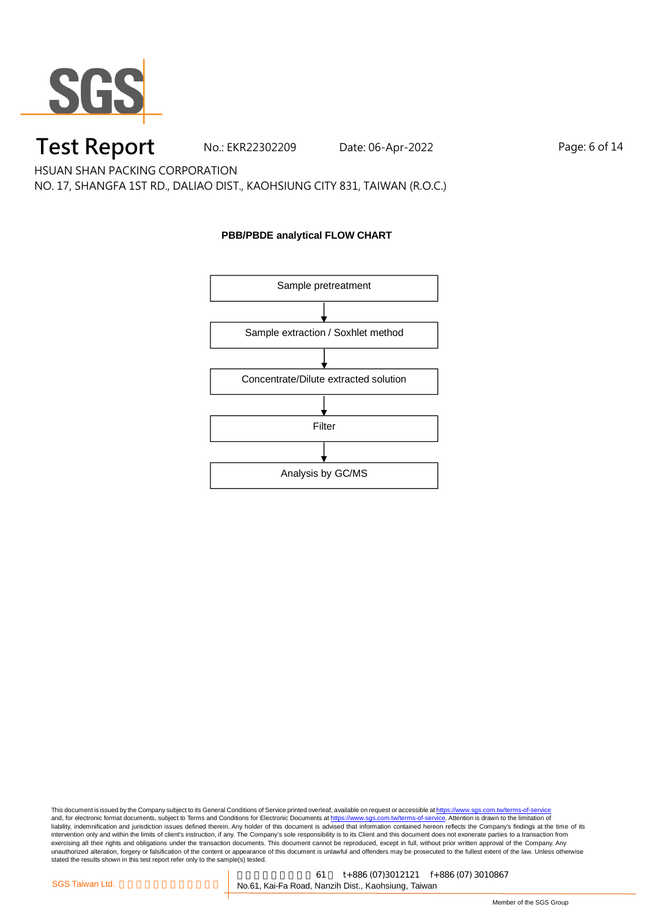

## **Test Report** No.: EKR22302209 Date: 06-Apr-2022 Page: 6 of 14

HSUAN SHAN PACKING CORPORATION

NO. 17, SHANGFA 1ST RD., DALIAO DIST., KAOHSIUNG CITY 831, TAIWAN (R.O.C.)

#### **PBB/PBDE analytical FLOW CHART**

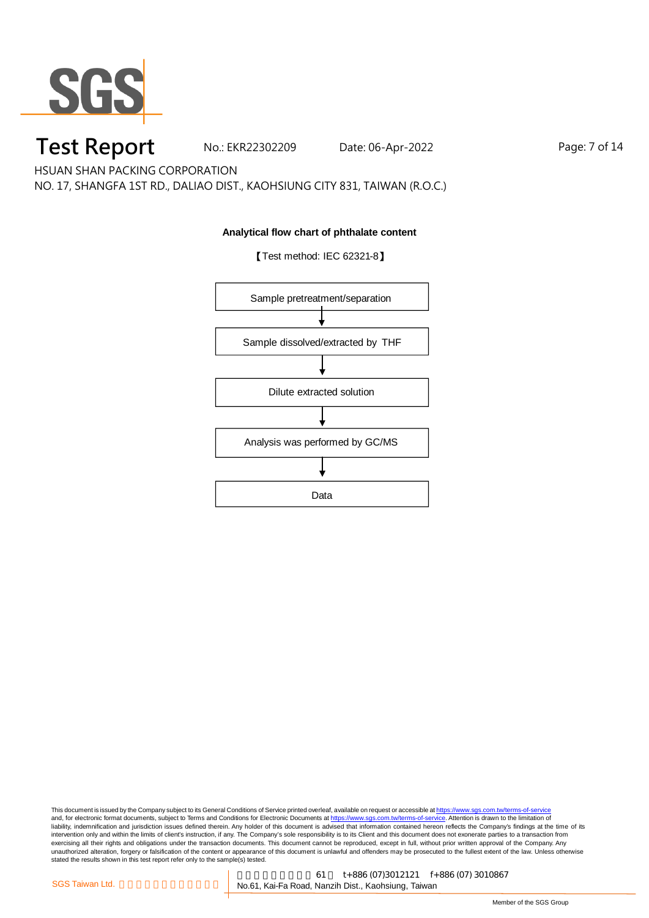

## **Test Report** No.: EKR22302209 Date: 06-Apr-2022 Page: 7 of 14

HSUAN SHAN PACKING CORPORATION

NO. 17, SHANGFA 1ST RD., DALIAO DIST., KAOHSIUNG CITY 831, TAIWAN (R.O.C.)

#### **Analytical flow chart of phthalate content**

【Test method: IEC 62321-8】

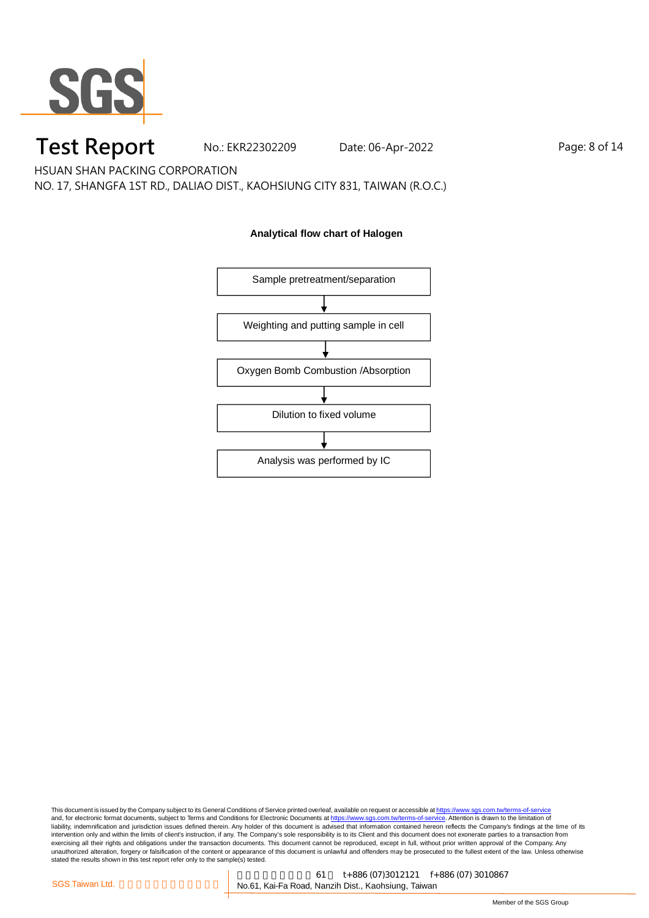

## **Test Report** No.: EKR22302209 Date: 06-Apr-2022 Page: 8 of 14

HSUAN SHAN PACKING CORPORATION

NO. 17, SHANGFA 1ST RD., DALIAO DIST., KAOHSIUNG CITY 831, TAIWAN (R.O.C.)

#### **Analytical flow chart of Halogen**

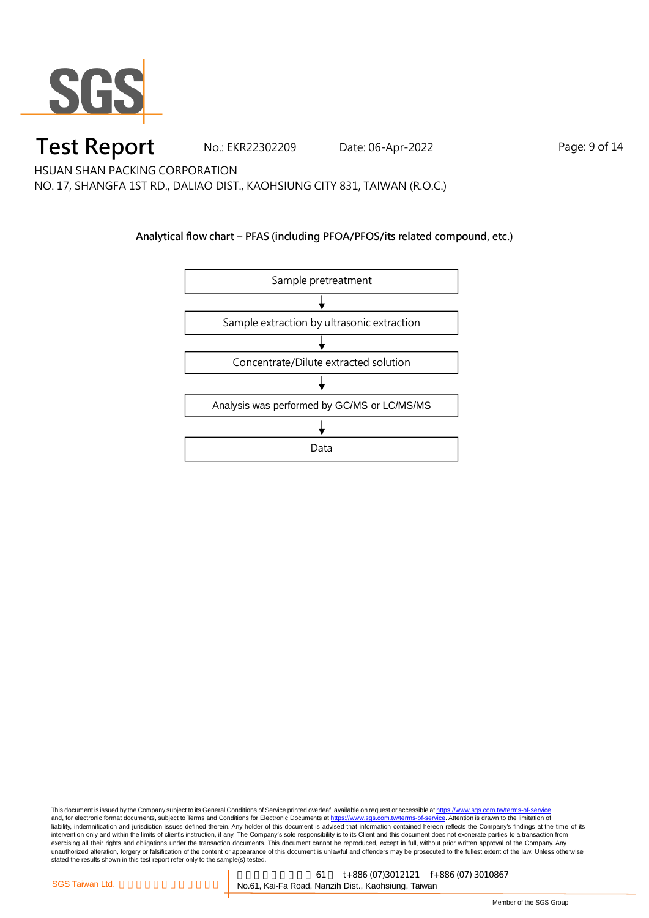

### **Test Report** No.: EKR22302209 Date: 06-Apr-2022 Page: 9 of 14

HSUAN SHAN PACKING CORPORATION

NO. 17, SHANGFA 1ST RD., DALIAO DIST., KAOHSIUNG CITY 831, TAIWAN (R.O.C.)

#### **Analytical flow chart – PFAS (including PFOA/PFOS/its related compound, etc.)**

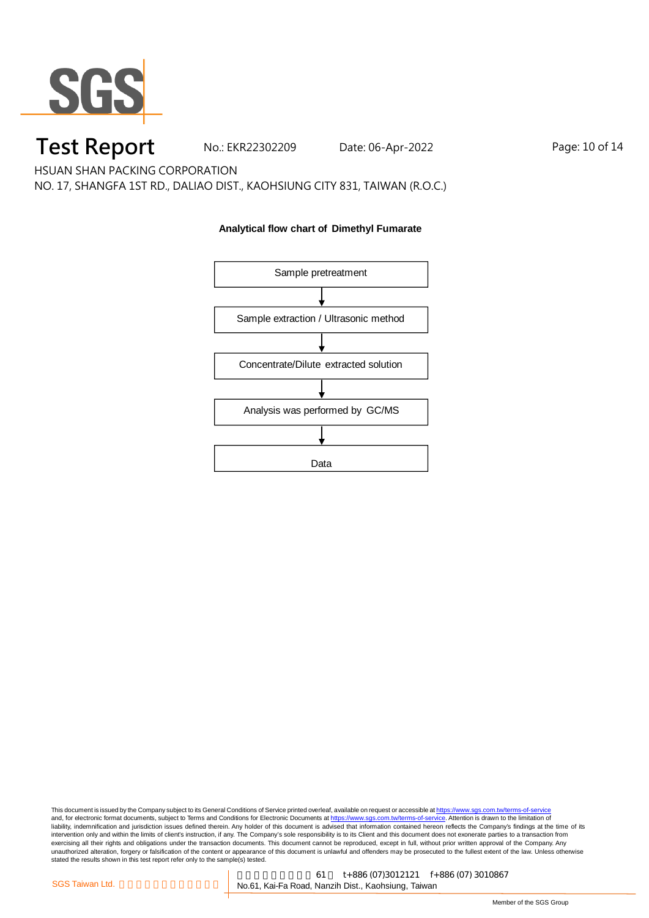

## **Test Report** No.: EKR22302209 Date: 06-Apr-2022 Page: 10 of 14

HSUAN SHAN PACKING CORPORATION

NO. 17, SHANGFA 1ST RD., DALIAO DIST., KAOHSIUNG CITY 831, TAIWAN (R.O.C.)

#### **Analytical flow chart of Dimethyl Fumarate**

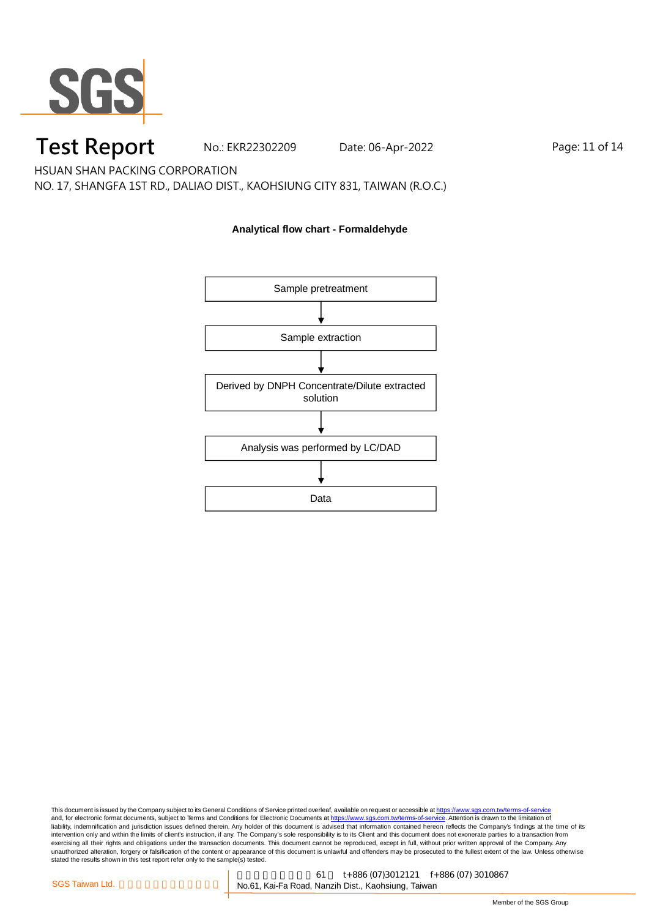

## **Test Report** No.: EKR22302209 Date: 06-Apr-2022 Page: 11 of 14

HSUAN SHAN PACKING CORPORATION

NO. 17, SHANGFA 1ST RD., DALIAO DIST., KAOHSIUNG CITY 831, TAIWAN (R.O.C.)

#### **Analytical flow chart - Formaldehyde**

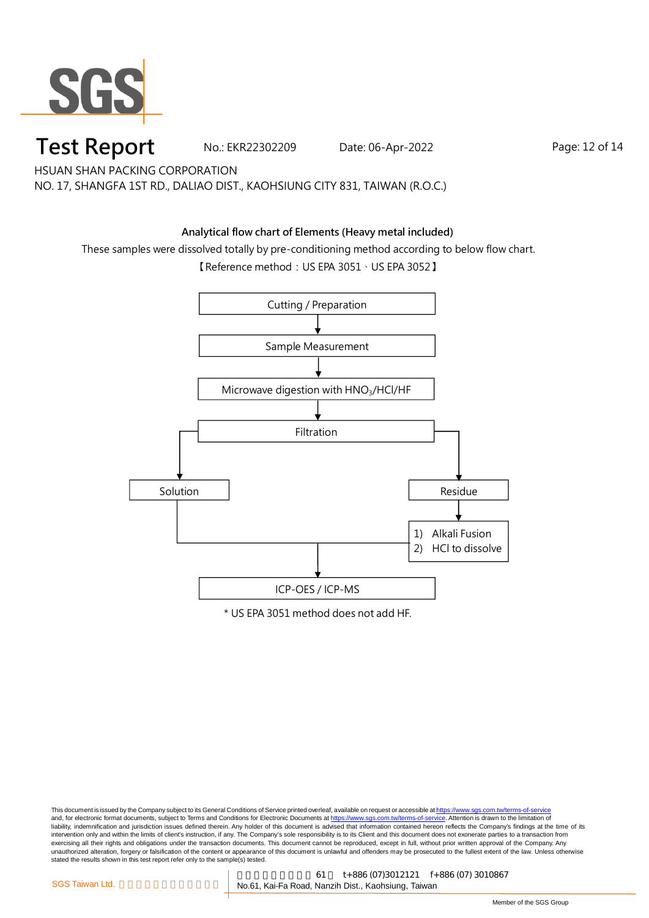

### **Test Report** No.: EKR22302209 Date: 06-Apr-2022 Page: 12 of 14

HSUAN SHAN PACKING CORPORATION NO. 17, SHANGFA 1ST RD., DALIAO DIST., KAOHSIUNG CITY 831, TAIWAN (R.O.C.)

#### **Analytical flow chart of Elements (Heavy metal included)**

These samples were dissolved totally by pre-conditioning method according to below flow chart.

【Reference method:US EPA 3051、US EPA 3052】

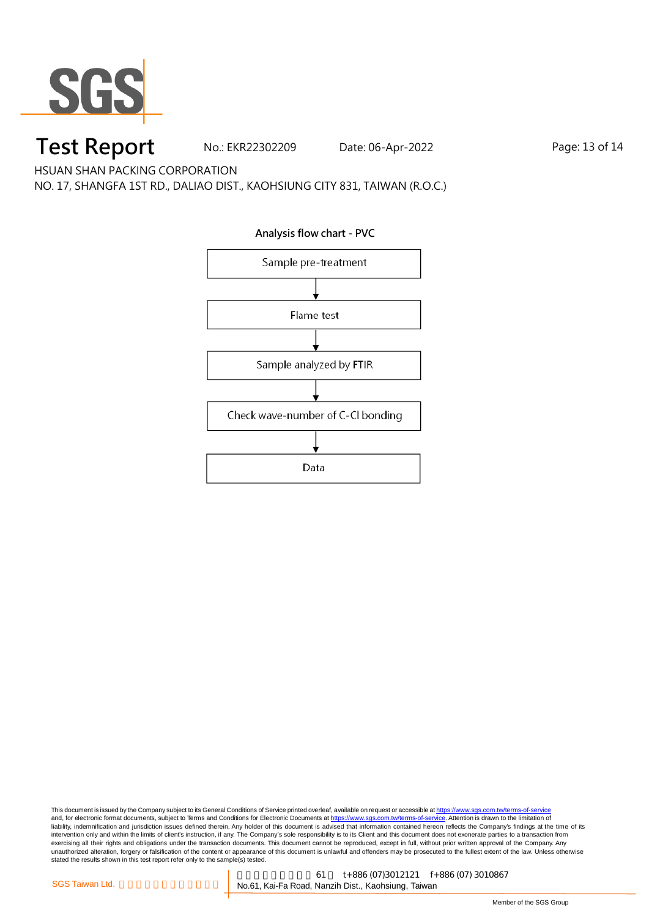

# **Test Report** No.: EKR22302209 Date: 06-Apr-2022 Page: 13 of 14

HSUAN SHAN PACKING CORPORATION

NO. 17, SHANGFA 1ST RD., DALIAO DIST., KAOHSIUNG CITY 831, TAIWAN (R.O.C.)